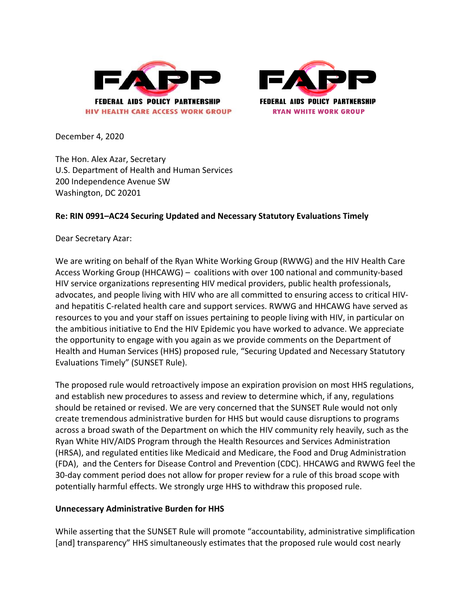



December 4, 2020

The Hon. Alex Azar, Secretary U.S. Department of Health and Human Services 200 Independence Avenue SW Washington, DC 20201

## **Re: RIN 0991–AC24 Securing Updated and Necessary Statutory Evaluations Timely**

Dear Secretary Azar:

We are writing on behalf of the Ryan White Working Group (RWWG) and the HIV Health Care Access Working Group (HHCAWG) – coalitions with over 100 national and community‐based HIV service organizations representing HIV medical providers, public health professionals, advocates, and people living with HIV who are all committed to ensuring access to critical HIV‐ and hepatitis C-related health care and support services. RWWG and HHCAWG have served as resources to you and your staff on issues pertaining to people living with HIV, in particular on the ambitious initiative to End the HIV Epidemic you have worked to advance. We appreciate the opportunity to engage with you again as we provide comments on the Department of Health and Human Services (HHS) proposed rule, "Securing Updated and Necessary Statutory Evaluations Timely" (SUNSET Rule).

The proposed rule would retroactively impose an expiration provision on most HHS regulations, and establish new procedures to assess and review to determine which, if any, regulations should be retained or revised. We are very concerned that the SUNSET Rule would not only create tremendous administrative burden for HHS but would cause disruptions to programs across a broad swath of the Department on which the HIV community rely heavily, such as the Ryan White HIV/AIDS Program through the Health Resources and Services Administration (HRSA), and regulated entities like Medicaid and Medicare, the Food and Drug Administration (FDA), and the Centers for Disease Control and Prevention (CDC). HHCAWG and RWWG feel the 30-day comment period does not allow for proper review for a rule of this broad scope with potentially harmful effects. We strongly urge HHS to withdraw this proposed rule.

## **Unnecessary Administrative Burden for HHS**

While asserting that the SUNSET Rule will promote "accountability, administrative simplification [and] transparency" HHS simultaneously estimates that the proposed rule would cost nearly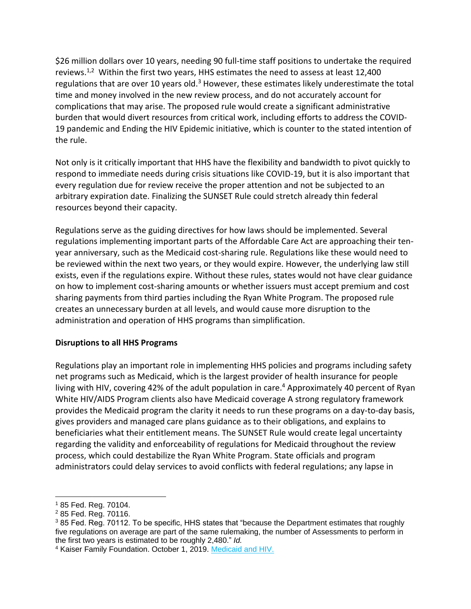\$26 million dollars over 10 years, needing 90 full-time staff positions to undertake the required reviews.<sup>1,2</sup> Within the first two years, HHS estimates the need to assess at least 12,400 regulations that are over 10 years old. $3$  However, these estimates likely underestimate the total time and money involved in the new review process, and do not accurately account for complications that may arise. The proposed rule would create a significant administrative burden that would divert resources from critical work, including efforts to address the COVID-19 pandemic and Ending the HIV Epidemic initiative, which is counter to the stated intention of the rule.

Not only is it critically important that HHS have the flexibility and bandwidth to pivot quickly to respond to immediate needs during crisis situations like COVID-19, but it is also important that every regulation due for review receive the proper attention and not be subjected to an arbitrary expiration date. Finalizing the SUNSET Rule could stretch already thin federal resources beyond their capacity.

Regulations serve as the guiding directives for how laws should be implemented. Several regulations implementing important parts of the Affordable Care Act are approaching their tenyear anniversary, such as the Medicaid cost-sharing rule. Regulations like these would need to be reviewed within the next two years, or they would expire. However, the underlying law still exists, even if the regulations expire. Without these rules, states would not have clear guidance on how to implement cost-sharing amounts or whether issuers must accept premium and cost sharing payments from third parties including the Ryan White Program. The proposed rule creates an unnecessary burden at all levels, and would cause more disruption to the administration and operation of HHS programs than simplification.

# **Disruptions to all HHS Programs**

Regulations play an important role in implementing HHS policies and programs including safety net programs such as Medicaid, which is the largest provider of health insurance for people living with HIV, covering 42% of the adult population in care. <sup>4</sup> Approximately 40 percent of Ryan White HIV/AIDS Program clients also have Medicaid coverage A strong regulatory framework provides the Medicaid program the clarity it needs to run these programs on a day-to-day basis, gives providers and managed care plans guidance as to their obligations, and explains to beneficiaries what their entitlement means. The SUNSET Rule would create legal uncertainty regarding the validity and enforceability of regulations for Medicaid throughout the review process, which could destabilize the Ryan White Program. State officials and program administrators could delay services to avoid conflicts with federal regulations; any lapse in

<sup>1</sup> 85 Fed. Reg. 70104.

<sup>2</sup> 85 Fed. Reg. 70116.

 $385$  Fed. Reg. 70112. To be specific, HHS states that "because the Department estimates that roughly five regulations on average are part of the same rulemaking, the number of Assessments to perform in the first two years is estimated to be roughly 2,480." *Id.*

<sup>&</sup>lt;sup>4</sup> Kaiser Family Foundation. October 1, 2019. [Medicaid and HIV.](https://www.kff.org/hivaids/fact-sheet/medicaid-and-hiv/)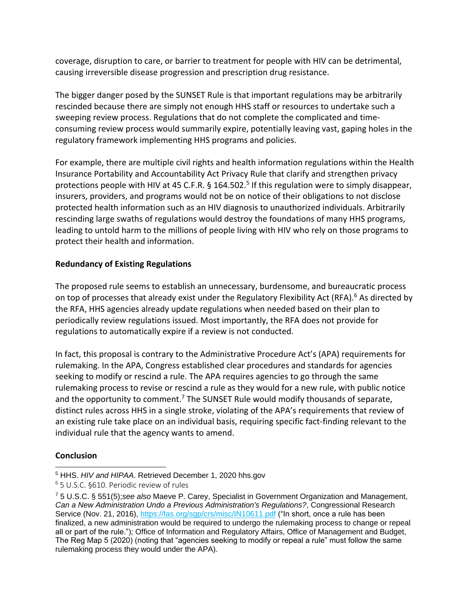coverage, disruption to care, or barrier to treatment for people with HIV can be detrimental, causing irreversible disease progression and prescription drug resistance.

The bigger danger posed by the SUNSET Rule is that important regulations may be arbitrarily rescinded because there are simply not enough HHS staff or resources to undertake such a sweeping review process. Regulations that do not complete the complicated and timeconsuming review process would summarily expire, potentially leaving vast, gaping holes in the regulatory framework implementing HHS programs and policies.

For example, there are multiple civil rights and health information regulations within the Health Insurance Portability and Accountability Act Privacy Rule that clarify and strengthen privacy protections people with HIV at 45 C.F.R. § 164.502.<sup>5</sup> If this regulation were to simply disappear, insurers, providers, and programs would not be on notice of their obligations to not disclose protected health information such as an HIV diagnosis to unauthorized individuals. Arbitrarily rescinding large swaths of regulations would destroy the foundations of many HHS programs, leading to untold harm to the millions of people living with HIV who rely on those programs to protect their health and information.

# **Redundancy of Existing Regulations**

The proposed rule seems to establish an unnecessary, burdensome, and bureaucratic process on top of processes that already exist under the Regulatory Flexibility Act (RFA).<sup>6</sup> As directed by the RFA, HHS agencies already update regulations when needed based on their plan to periodically review regulations issued. Most importantly, the RFA does not provide for regulations to automatically expire if a review is not conducted.

In fact, this proposal is contrary to the Administrative Procedure Act's (APA) requirements for rulemaking. In the APA, Congress established clear procedures and standards for agencies seeking to modify or rescind a rule. The APA requires agencies to go through the same rulemaking process to revise or rescind a rule as they would for a new rule, with public notice and the opportunity to comment.<sup>7</sup> The SUNSET Rule would modify thousands of separate, distinct rules across HHS in a single stroke, violating of the APA's requirements that review of an existing rule take place on an individual basis, requiring specific fact-finding relevant to the individual rule that the agency wants to amend.

# **Conclusion**

<sup>5</sup> HHS. *HIV and HIPAA*. Retrieved December 1, 2020 hhs.gov

<sup>6</sup> 5 U.S.C. §610. Periodic review of rules

<sup>7</sup> 5 U.S.C. § 551(5);*see also* Maeve P. Carey, Specialist in Government Organization and Management, *Can a New Administration Undo a Previous Administration's Regulations?*, Congressional Research Service (Nov. 21, 2016),<https://fas.org/sgp/crs/misc/IN10611.pdf> ("In short, once a rule has been finalized, a new administration would be required to undergo the rulemaking process to change or repeal all or part of the rule."); Office of Information and Regulatory Affairs, Office of Management and Budget, The Reg Map 5 (2020) (noting that "agencies seeking to modify or repeal a rule" must follow the same rulemaking process they would under the APA).